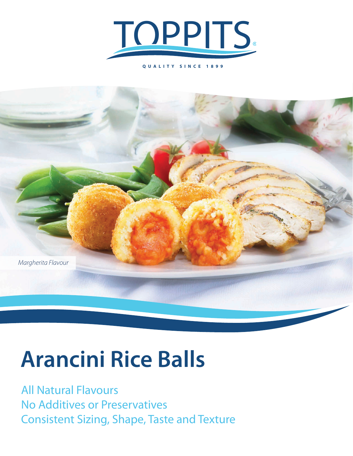

**QUALITY SINCE 1899**



# **Arancini Rice Balls**

All Natural Flavours No Additives or Preservatives Consistent Sizing, Shape, Taste and Texture